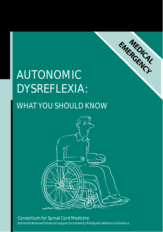# AUTONOMIC DYSREFLEXIA:

## WHAT YOU SHOULD KNOW



ENTEDICAL

Consortium for Spinal Cord Medicine Administrative and financial support provided by Paralyzed Veterans of America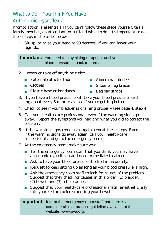## What to Do If You Think You Have Autonomic Dysreflexia:

Prompt action is essential! If you can't follow these steps yourself, tell a family member, an attendant, or a friend what to do. It's important to do family member, an attendant, or a friend what to do. It's important to do.<br>those stons in the order helow these steps in the order below.

1. Sit up, or raise your head to 90 degrees. If you can lower your legs, do.

**Important:** You need to stay sitting or upright until your blood pressure is back to normal.

- 2. Loosen or take off anything tight:
	- External catheter tape
- Abdominal binders<br>■ Shoes or leg braces

Shoes or leg braces

- Clothes
- 
- Leg bag straps
- Elastic hose or bandages Leg bag straps<br>3. If you have a blood pressure kit, take your blood pressure read-3. If you have a blood pressure kit, take your blood pressure read-<br>ing about every 5 minutes to see if you're getting better ing about every 5 minutes to see if you're getting better.
- 
- 4. Check to see if your bladder is draining properly (see page 4, step 4).<br>5. Call your health-care professional, even if the warning signs go 5. Call your health-care professional, even if the warning signs go away. Report the symptoms you had and what you did to correct the
- problem.<br>6. If the warning signs come back again, repeat these steps. Even if the warning signs go away again, call your health-care If the warning signs go away again, can your health-care<br>professional and go to the emergency room professional and go to the emergency room.
- 7. At the emergency room, make sure you:<br>Tell the emergency room staff that ve
	- Tell the emergency room staff that you think you may have autonomic dysreflexia and need immediate treatment.
	- autonomic dysreflexia and need immediate treatment. ■ Ask to have your blood pressure checked immediately.
	- Request to keep sitting up as long as your blood pressure is high.
	- Ask the emergency room staff to look for causes of the problem.<br>Suggest that they check for causes in this order: (1) bladder,  $(2)$  bowel, and  $(3)$  other causes.
	- $\alpha$  bowel, and  $\beta$  other causes. ■ Suggest that your health-care professional instill anesthetic jelly<br>into your rectum before checking your bowel into your rectum before checking your bowel.

#### **Important:** Inform the emergency room staff that there is a complete clinical practice guideline available at the website: www.pva.org.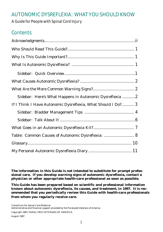## AUTONOMIC DYSREFLEXIA: WHAT YOU SHOULD KNOW

#### A Guide for People with Spinal Cord Injury

## **Contents**

| Sidebar: Here's What Happens in Autonomic Dysreflexia 2      |  |
|--------------------------------------------------------------|--|
| If I Think I Have Autonomic Dysreflexia, What Should I Do? 3 |  |
|                                                              |  |
|                                                              |  |
|                                                              |  |
| Table: Common Causes of Autonomic Dysreflexia:  8            |  |
|                                                              |  |
|                                                              |  |
|                                                              |  |

**The information in this Guide is not intended to substitute for prompt professional care. If you develop warning signs of autonomic dysreflexia, contact a physician or other appropriate health-care professional as soon as possible.**

**This Guide has been prepared based on scientific and professional information known about autonomic dysreflexia, its causes, and treatment, in 1997. It is recommended that you periodically review this Guide with health-care professionals from whom you regularly receive care.**

Consortium for Spinal Cord Medicine<br>Administrative and financial support provided by the Paralyzed Veterans of America Administrative and financial support provided by the Paralyzed Veterans of America

Copyright 1997, PARALYZED VETERANS OF AMERICA August 1997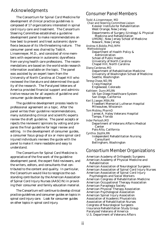#### Acknowledgments

The Consortium for Spinal Cord Medicine for composed of 17 organizations interested in spinal cord injury care and treatment. The Consortium Steering Committee established a guideline development panel to make recommendations on how best to prevent and treat autonomic dysreflexia because of its life-threatening nature. The consumer panel was chaired by Todd A. Linsenmeyer, M.D., and consisted of nine members with experience in autonomic dysreflexia from varying health care professions. The recommendations are based on the world-wide research information available on the topic. The panel was assisted by an expert team from the University of North Carolina at Chapel Hill who reviewed the literature and determined the quality of the research. The Paralyzed Veterans of America provided financial support and administrative resources for all aspects of guideline and trative resources for all aspects of guideline and consumer guide development.

The guideline development process leads to<br>professional agreement on a topic. After the panel writes their guideline recommendations, many outstanding clinical and scientific experts review the draft guideline. The panel accepts or rejects the reviewers' opinions by voting and prepares the final guideline for legal review and editing. In the development of consumer guides, a consumer focus group of six or more spinal cord injured individuals reviews the guide with the injured individuals reviews the guide with the panel to make it more readable and easy to un de r stand.

The Consortium for Spinal Cord Medicine is development panel, the expert field reviewers, and the writers, editors, and consultants that contributed to the content and quality. In particular, the Consortium would like to recognize the outstanding contribution by the American Association of Spinal Cord Injury Nurses (AASCIN) in providof Spinal Cord Injury Nurses (AASCIN) in providing their consumer and family education material.

The Consortium will continue to develop clinical<br>practice guidelines and consumer guides on topics in spinal cord injury care. Look for consumer guides spinal cord injury care. Look for consumer guides on other topics in spinal cord injury.

#### Consumer Panel Members

Todd A.Linsenmeyer, MD Chair and Steering Committee Liaison West Orange, New Jersey Departments of Surgery (Urology) & Physical Medicine and Rehabilitation UMDNJ; New Jersey School of Medicine Newark, New Jersey Newark, New Jersey Andrea K.Biddle, PhD, MPH Methodologist<br>Department of Health Policy & Administration **School of Public Health** University of North Carolina University of North Carolina<br>Chanel Hill North Carolina Chapel Hill, North Carolina Diana Cardenas, MD University of Washington School of Medicine Seattle, Washington Seattle, Washington Teresa Chase,ND,RN Craig Hospital Englewood, Colorado Kathleen Dunn,MS,RN VA San Diego Healthcare System<br>San Diego, California San Diego, California Keri S.Jaeger, MBA,RN Froedtert Memorial Lutheran Hospital Milwaukee, Wisconsin Tom Mobley, PharmD James A. Haley Veterans Hospital Tampa, Florida Inder Perkash,MD Department of Veterans Affairs Medical Palo Alto, California Palo Alto, California Cynthia Zejdlik,RN Independent Rehabilitation Nursing eshsunune<br>Ilingham J Bellingham, Washington

#### Consortium Member Organizations

American Academy of Orthopedic Surgeons American Academy of Physical Medicine and Rehabilitation<br>American Association of Neurological Surgeons American Association of Spinal Cord Injury Nurses American Association of Spinal Cord Injury Psychologists and Social Workers American Congress of Rehabilitation Medicine American Occupational Therapy Association American Paraplegia Society American Physical Therapy Association American Psychological Association American Spinal Injury Association Association of Academic Physiatrists Association of Rehabilitation Nurses Congress of Neurological Surgeons Insurance Rehabilitation Study Group Paralyzed Veterans of America Paralyzed Veterans of America<br>IIS Department of Veterans A U.S. Department of Veterans Affairs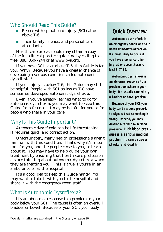## Who Should Read This Guide?

- People with spinal cord injury (SCI) at or above T-6
- Their family, friends, and personal care<br>attendants

Health-care professionals may obtain a copy of the full clinical practice guideline by calling tollof the full clinical practice guideline by calling toll-<br>free  $(888)$   $860-7244$  or at www.pya.org  $f(x) = 1 - 867 + 1 - 7844$ 

If you have SCI at or above T-6, this Guide is for you. Why? Because you have a greater chance of developing a serious condition called *autonomic*

*dysreflexia*.\* be helpful. People with SCI as low as T-8 have be helpful. People with SCI as low as T-8 have<br>comotimos dovolonod autonomic dveroflovia sometimes developed autonomic dysreflexia.

Even if you've already learned what to do for Guide for reference. It may be helpful for you or for Guide for reference. It may be helpful for you or for people who share in your care.

## Why Is This Guide Important?

Autonomic dysreflexia can be life-threatening.<br>It requires quick and correct action.

Unfortunately, many health professionals aren't familiar with this condition. That's why it's important for you, and the people close to you, to learn about it. You may have to help guide your own treatment by ensuring that health-care professionals are thinking about autonomic dysreflexia when they are treating you. This is true if you're in an ambulance or at the hospital.

It's a good idea to keep this Guide handy. You may want to take it with you to the hospital and may want to take it with you to the hospital and<br>share it with the emergency room staff share it with the emergency room staff.

## What Is Autonomic Dysreflexia?

It's an abnormal response to a problem in your body below your SCI. The cause is often an overfull<br>bladder or bowel Recause of your SCI your body bladder or bowel. Because of your SCI, your body

## **Quick Overview**

**Autonomic dysr eflexia is an emergency condition tha t needs immediate attention! It's most likely to occur if you have a spinal cord injury at or above thoracic level 6 (T-6).**

**Autonomic dysr eflexia is an abnormal response to a problem somewhere in your body. It's usually caused b y a bladder or bowel problem.** 

**Because of your SCI, your body can't respond properly to signals that something is wrong. Instead, you may develop a rapid rise in blood pressure. High blood pres sure is a serious medical problem. It can cause a stroke and death.** 

<sup>\*</sup>Words in italics are explained in the Glossary on page 10.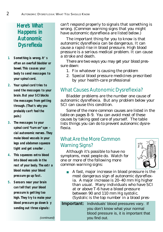## Here's What **Happens in Autonomic Dysreflexia**

- **1. Something is wrong. It' s often an overfull bladder or bowel. This causes your body to send messages to your spinal cord.**
- **2. Your spinal cord tries to send the messages to your brain. But your SCI blocks the messages from getting through. (That's why you probably can't feel the pain.)**
- **3. The messages to your spinal cord "turn on" spe cial autonomic nerves. They make blood vessels in your legs and abdomen squeeze tight and get smaller .**
- **4. This squeezes extra blood into blood vessels in the rest of your body. The extr a blood makes your blood pressure go up fast.**
- **5. Sensors near your brain can tell that your blood pressure is getting too high. They try to make your blood pressure go down b y sending out three signals:**

can't respond properly to signals that something is wrong. (Common warning signs that you might<br>have autonomic dysreflevia are listed below) have autonomic dysreflexia are listed below.)

The important thing for you to know is that<br>autonomic dysreflexia can be dangerous. It can cause a rapid rise in blood pressure. High blood cause a rapid rise in blood pressure. High blood pressure is a serious medical problem. It can cause

a stroke and death. There are two ways you may get your blood pressure down:<br>1. Fix whatever is causing the problem

- 
- 2. Special blood pressure medicines prescribed 2. Special blood pressure medicines preserved by your health-care professional

## What Causes Autonomic Dysreflexia?

Bladder problems are the number one cause of<br>autonomic dysreflexia. But any problem below your SCI can cause this condition.

Some of the more common causes are listed in the table on pages  $8-9$ . You can avoid most of these causes by taking good care of yourself. The table  $\frac{1}{2}$  causes by taking good care of yourself. The table lists things you can do to prevent autonomic dysreflexia.

## What Are the More Common **Warning Signs?**

Although it's possible to have no<br>symptoms, most people do. Watch for one or more of the following more one or more or the following more common warning signs:



A fast, major increase in blood pressure is the most dangerous sign of autonomic dysreflexia. A major increase is  $20-40$  mm Hg higher than usual. Many individuals who have SCI at or above T-6 have a blood pressure between 90 and 110 mm Hg systolic. (Systolic is the top number in a blood pres-

(Systolic is the top number in a blood pres-**Important:** Individuals' blood pressures vary. If you don't know what your normal blood pressure is, it is important that you find out.

(continued)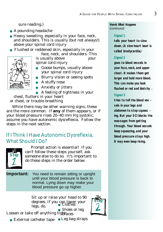sure reading.)

- A pounding headache
- Heavy sweating, especially in your face, neck, and shoulders. This is usually (but not always!) above your spinal cord injury
- above your spinal cord injury ■ Flushed or reddened skin, especially in your<br>face, neck, and shoulders. Thi



- face, neck, and shoulders. This<br>is usually above your spinal cord injury spinal cord injury
- Goose bumps, usually above<br>vour spinal cord injury your spinal cord injury
- Blurry vision or seeing spots<br>- A stuffy pass
- A stuffy nose
- Anxiety or jitters<br>■ A feeling of tightr

■ A feeling of tightness in your chest, flutters in your heart

or chest, or trouble breathing

While there may be other warning signs, these while there may be other warning signs, these<br>are the more common. If **any** of them appears, or if<br>your blood pressure rises 20–40 mm Hq systolic your blood pressure rises 20–40 mm Hg systolic, assume you have autonomic aysi chema. Follow the<br>stans in tha navt saction steps in the next section.

## If I Think I Have Autonomic Dysreflexia, What Should I Do?



Prompt action is essential! If you someone else to do so. It's important to someone else to do so. It's important to<br>do these stens in the order helow do these steps in the order below.

**Important:** You need to remain sitting or upright until your blood pressure is back to normal. Lying down may make your blood pressure go up higher.

> Sit up or raise your head to 00  $\frac{\log \cos n}{\sin \cos n}$  Clothes legs, do. ■ Clothes



 $\frac{1}{2}$ **EXECUTE:** Shoes or leg Loosen or take off anything tightaces

■ External catheter tape  $\frac{1}{2}$ ■ Leg bag straps

#### **He re 's What Happens** (continued)

#### **Signal 1**

**tells your heart to slow down. (A slow heart beat is called bradycardia.)**

#### **Signal 2**

**goes to blood vessels in your face, neck, and upper chest. It makes them get larger and hold more blood. This can make you look flushed or red and blotchy .**

#### **Signal 3**

**tries to tell the blood ves sels in your legs and abdomen to stop squeez ing. But your SCI blocks the messages from getting through. Your blood vessels keep squeezing, and your blood pressure stays high. It may even keep rising.**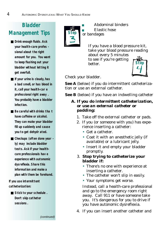## **Bladder Management Tips**

- **Drink enough fluids. Ask your health-care profes sional about the right amount for you. You want to keep flushing out your bladder without letting it get overfull.**
- **If your urine is cloudy, has a bad smell, or has blood in it, call your health-car e professional right away . You probably have a bladder infection.**
- **Be careful with drinks tha t have caffeine or alcohol. They can make your bladder fill up suddenly and cause you to get dehydr ated.**
- **Checkups** (often done year **ly) may include bladder tests. Ask if your healthcare professionals hav e experience with autonomic dysreflexia. Share this information and make a plan with them be forehand.**

**If you use intermittent catheterization:**

■ **Stick to your schedule . Don't skip catheter sessions .**



Abdominal binders<br>Elastic hose ■ Elastic hose<br>or bandages or bandages

If you have a blood pressure kit,

about every 5 minutes about  $\text{erg}\text{ }$   $\text{cm}\text{ }$   $\text{m}$  minutes to see if you're getting better.



Check your bladder.

**See A** (below) if you do intermittent catheterization or use an external catheter. tion or use an external catheter.

**See B** (below) if you have an indwelling catheter

#### *A. If you do intermittent catheterization, or use an external catheter or padding:*

- 
- 1. Take off the external catheter or pads.<br>2. If you (or someone with you) has experience inserting a catheter:
	- $\cdot$  Get a catheter.
	- Coat it with an anesthetic jelly (if available) or a lubricant jelly.
	- available) or a lubricant jelly. • Insert it and empty your bladder

## promptly. 3. **Stop trying to catheterize your bladder if:**

- There's no one with experience at inserting a catheter.
- The catheter won't slip in easily. • The catheter won't slip in easily.
- $\frac{1}{2}$   $\frac{1}{2}$   $\frac{1}{2}$   $\frac{1}{2}$   $\frac{1}{2}$   $\frac{1}{2}$

Instead, call a health-care professional away. Call 911 or have someone take you. It's dangerous for you to drive if you. It's dangerous for you to drive if you have autonomic dysreflexia.

4. If you can insert another catheter and

(continued)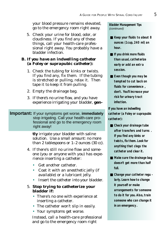your blood pressure remains elevated, go to the emergency room right away.

5. Check your urine for blood, odor, or things, call your health-care professional right away. You probably have a sional right away. You probably have a bladder infection.

#### *B. If you have an indwelling catheter (a Foley or suprapubic catheter):*

- 1. Check the tubing for kinks or twists.<br>If you find any, fix them. If the tubing is stretched or pulling, relax it. Then. is stretched or pulling, relax it. Then<br>tang it to keen it from nulling tape it to keep it from pulling.
- 2. Empty the drainage bag.
- experience irrigating your bladder, **gen-**

#### **Important:** If your symptoms get worse, *immediately* stop irrigating. Call your health-care professional and go to the emergency room right away!

**tly** irrigate your bladder with saline<br>solution. Use a small amount: no more  $\frac{1}{2}$  solution. Use a small amount: no more  $t_{\text{max}}$   $\approx$  tablespoons or  $\frac{1}{2}$   $\approx$  ounces (30 cc).

- 4. If there's still no urine flow and someone (you or anyone with you) has experience inserting a catheter:
	-
	- Get another catheter.<br>• Coat it with an anesthetic jelly (if available) or a lubricant jelly.
	- available) or a lubricant jelly. more the catheter into your bladder.

#### 5. **Stop trying to catheterize your bladder if:**

- There's no one with experience at inserting a catheter.
- The catheter won't slip in easily.
- The catheter won't slip in easily.

• Your symptoms get worse. Instead, call a health-care professional and go to the emergency room right

**Bladder Management Tips** (continued)

- Keep your fluids to about 8 **ounces (1 cup, 240 ml) an hour.**
- If you drink more fluids **than usual, catheterize early or add an extr a session.**
- **Even though you may be tempted to cut back on fluids for convenience , don't. You'll increase your risk for urinary tract infection.**

**If you have an indwelling catheter (a Foley or suprapubic catheter):**

- Check your drainage tube **after transfers and turns . If you find any kinks or twists, fix them. Look for anything that clogs the catheter and clear it.**
- Make sure the drainage bag **doesn't get more than half full.**
- **Change your catheter regu larly. Learn how to change it yourself or make arrangements for someone to do it for you. Also, train someone who can change it in an emergency .**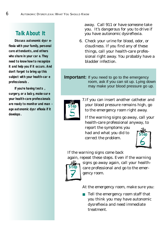## **Talk About It**

**Discuss autonomic dysr eflexia with your family, personal care attendants, and others who share in your car e. They need to know how to recognize it and help you if it occurs. And don't forget to bring up this subject with your health-car e professionals .**

**If you're having tests , surgery, or a bab y, make sur e your health-care professionals are ready to monitor and man age autonomic dysr eflexia if it develops.**

away. Call 911 or have someone take you. It's dangerous for you to drive if you have autonomic dysreflexia.

6. Check your urine for blood, odor, or things, call your health-care professional right away. You probably have a bladder infection. bladder infection.

**Important:** If you need to go to the emergency room, ask if you can sit up. Lying down may make your blood pressure go up.



7.If you can insert another catheter and your blood pressure remains high, go to the emergency room right away.

If the warning signs go away, call your<br>health-care professional anyway, to

report the symptoms you had and what you did to had and what you did to correct the problem.



If the warning signs come back<br>again, repeat these steps. Even if the warning



signs go away again, call your healthsigns go away again, call your healthcare professional and go to the emergency room.

At the emergency room, make sure you:

■ Tell the emergency room staff that<br>you think you may have autonomic you think you may have autonomic dysreflexia and need immediate treatment.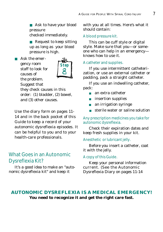■ Ask to have your blood<br>pressure pressure

checked immediately.

■ Request to keep sitting<br>up as long as your blood up as long as your blood pressure is high.

■ Ask the emer-<br>gency room staff to look for causes of the problem. Suggest that



they check causes in this order:  $(1)$  bladder,  $(2)$  bowel,  $\alpha$  order: (1) bladder,  $\alpha$ , bowel, and (3) other causes.

Use the diary form on pages 11-<br>14 and in the back pocket of this Guide to keep a record of your autonomic dysreflexia episodes. It can be helpful to you and to your can be helpful to you and to your health-care professionals.

## What Goes in an Autonomic Dysreflexia Kit?

It's a good idea to make an "auto-<br>nic dysraflovia kit" and koon it nomic dysreflexia me "and heep it

with you at all times. Here's what it<br>should contain: should contain:

#### A blood pressure kit.

This can be cuff style or digital<br>style. Make sure that you—or someone who can help in an emergency knows how to use it. knows how to use it.

#### A catheter and supplies.

If you use intermittent catheterization, or use an external catheter or<br>nadding nack a straight catheter padding, pack a straight catheter.

If you use an indwelling catheter, pack:

- an extra catheter<br>■ insertion supplies
- insertion supplies<br>■ an irrigation syrir
- an irrigation syringe
- sterile water or saline solution

#### Any prescription medicines you take for autonomic dysreflexia.

Check their expiration dates and keep fresh supplies in your kit.

#### Anesthetic or lubricant jelly.

 $\frac{1}{2}$ before  $\frac{1}{2}$  ou insert a catheter, coat it with the jelly.

#### A copy of this Guide.

Keep your personal information current. (See the Autonomic<br>Dysraflavia Diary on nages 11-1  $D<sub>y</sub>$ si onema $D<sub>0</sub>$  on pages 11-14

#### **AUTONOMIC DYSREFLEXIA IS A MEDICAL EMERGENCY! You need to recognize it and get the right care fast.**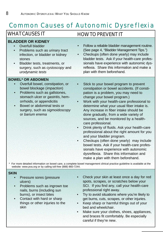## Common Causes of Autonomic Dysreflexia

### WHAT CAUSES IT

#### **BLADDER OR KIDNEY**

- Overfull bladder
- Problems such as urinary tract infection, or bladder or kidney stones
- Bladder tests, treatments, or surgery, such as cystoscopy and urodynamic tests

#### **BOWEL\* OR ABDOMEN**

- Overfull bowel, constipation, or bowel blockage (impaction)
- Problems such as gallstones, stomach ulcer or gastritis, hemorrhoids, or appendicitis
- Bowel or abdominal tests or surgery, such as sigmoidoscopy or barium enema

### HOW TO PREVENT IT

- Follow a reliable bladder management routine. (See page 4, "Bladder Management Tips.")
- Checkups (often done yearly) may include bladder tests. Ask if your health-care professionals have experience with autonomic dysreflexia. Share this information and make a plan with them beforehand.
- Stick to your bowel program to prevent constipation or bowel accidents. (If constipation is a problem, you may need to change your bowel program.)
- Work with your health-care professional to determine what your usual fiber intake is. Any increase in fiber intake should be done gradually, from a wide variety of sources, and be monitored by a healthcare professional.
- Drink plenty of fluids. Ask your health-care professional about the right amount for you and your bladder program.
- Checkups (often done yearly) may include bowel tests. Ask if your health-care professionals have experience with autonomic dysreflexia. Share this information and make a plan with them beforehand.

For more detailed information on bowel care, a complete bowel management clinical practice guideline is available at the website: www.pva.org or by calling toll-free (888) 860-7244.

#### **SKIN**

- Pressure sores (pressure ulcers)
- Problems such as ingrown toe nails, burns (including sun burns), or insect bites
- Contact with hard or sharp things or other injuries to the skin
- Check your skin at least once a day for red spots, scrapes, or scratches below your SCI. If you find any, call your health-care professional right away.
- Try to avoid situations where you're likely to get burns, cuts, scrapes, or other injuries.
- Keep sharp or harmful things out of your bed and wheelchair.
- Make sure your clothes, shoes, appliances, and braces fit comfortably. Be especially careful if they're new.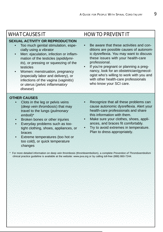#### **SEXUAL ACTIVITY OR REPRODUCTION**

- Too much genital stimulation, especially using a vibrator
- Men: ejaculation, infection or inflammation of the testicles (epididymitis), or pressing or squeezing of the testicles
- Women: menstruation, pregnancy (especially labor and delivery), or infections of the vagina (vaginitis) or uterus (pelvic inflammatory disease)

## WHAT CAUSES IT HOW TO PREVENT IT

- Be aware that these activities and conditions are possible causes of autonomic dysreflexia. You may want to discuss these issues with your health-care professional.
- If you're pregnant or planning a pregnancy, look for an obstetrician/gynecologist who's willing to work with you and with other health-care professionals who know your SCI care.

#### **OTHER CAUSES**

- Clots in the leg or pelvis veins (deep vein thrombosis) that may travel to the lungs (pulmonary emboli)\*
- Broken bones or other injuries
- Everyday problems such as tootight clothing, shoes, appliances, or braces
- Extreme temperatures (too hot or too cold), or quick temperature changes
- Recognize that all these problems can cause autonomic dysreflexia. Alert your health-care professionals and share this information with them.
- Make sure your clothes, shoes, appliances, and braces fit comfortably.
- Try to avoid extremes in temperature. Plan to dress appropriately.

\* For more detailed information on deep vein thrombosis (thromboembolism), a complete Prevention of Thromboembolism clinical practice guideline is available at the website: www.pva.org or by calling toll-free (888) 860-7244.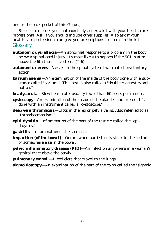and in the back pocket of this Guide.)<br>Be sure to discuss your autonomic dysreflexia kit with your health-care professional. Ask if you should include other supplies. Also ask if your professional. Ask if you should include other supplies. Also ask if your<br>hoalth care professional can give you prescriptions for items in the kit health-care professional can give you prescriptions for items in the kit.

#### **Glossary**

- **autonomic dysreflexia**—An abnormal response to a problem in the body below a spinal cord injury. It's most likely to happen if the SCI is at or above the 6th thoracic vertebra  $(T-6)$ . above the 6th thoracic vertebra  $(1-6)$ .
- *autonomic nerves*—Nerves in the spinal system that control involuntary action.
- *barium enema*—An examination of the inside of the body done with a substance called "barium." This test is also called a "double-contrast examination.<br>-
- *bradycardia*—Slow heart rate, usually fewer than 60 beats per minute.
- *cystoscopy*—An examination of the inside of the bladder and ureter. It's done with an instrument called a "cystoscope."
- *deep vein thrombosis*—Clots in the leg or pelvis veins. Also referred to as<br>"thromboombolism."  $\cdots$
- *epididymitis*—Inflammation of the part of the testicle called the "epididymis."
- *gastritis*—Inflammation of the stomach.
- *impaction (of the bowel)*—Occurs when hard stool is stuck in the rectum or somewhere else in the bowel. or somewhere else in the bowel.
- *pelvic inflammatory disease (PID)*—An infection anywhere in a woman's  $\frac{1}{2}$   $\frac{1}{2}$   $\frac{1}{2}$   $\frac{1}{2}$   $\frac{1}{2}$   $\frac{1}{2}$
- *pulmonary emboli*—Blood clots that travel to the lungs.

*sigmoidoscopy*—An examination of the part of the colon called the "sigmoid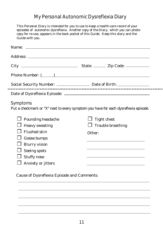## My Personal Autonomic Dysreflexia Diary

This Personal Diary is intended for you to use to keep a health-care record of your episodes of automomic dysreflexia. Another copy of the Diary, which you can photo-<br>copy for ro use appears in the back pocket of this Cuide. Keen this diary and the copy for re-use, appears in the back pocket of this Guide. Keep this diary and the Guide with you.

| Phone Number: ( )                                                                                      |                                                                                  |  |  |
|--------------------------------------------------------------------------------------------------------|----------------------------------------------------------------------------------|--|--|
|                                                                                                        | Social Security Number: ________________________ Date of Birth: ________________ |  |  |
|                                                                                                        |                                                                                  |  |  |
| <b>Symptoms</b><br>Put a checkmark or "X" next to every symptom you have for each dysreflexia episode. |                                                                                  |  |  |
| <b>Pounding headache</b>                                                                               | <b>Tight chest</b>                                                               |  |  |
| <b>Heavy sweating</b>                                                                                  | <b>Trouble breathing</b>                                                         |  |  |
| <b>Flushed skin</b>                                                                                    | Other:                                                                           |  |  |
| Goose bumps                                                                                            |                                                                                  |  |  |
| <b>Blurry vision</b>                                                                                   |                                                                                  |  |  |
| <b>Seeing spots</b>                                                                                    |                                                                                  |  |  |
| <b>Stuffy nose</b>                                                                                     |                                                                                  |  |  |
| Anxiety or jitters                                                                                     |                                                                                  |  |  |
|                                                                                                        |                                                                                  |  |  |

-------

Cause of Dysreflexia Episode and Comments: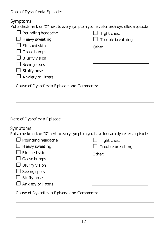| Date of Dysreflexia Episode: |  |
|------------------------------|--|
|                              |  |

## Symptoms

.......

Put a checkmark or "X" next to every symptom you have for each dysreflexia episode.

| <b>Pounding headache</b> | <b>Tight chest</b>                                                                  |
|--------------------------|-------------------------------------------------------------------------------------|
| <b>Heavy sweating</b>    | <b>Trouble breathing</b>                                                            |
| <b>Flushed skin</b>      | Other:                                                                              |
| <b>Goose bumps</b>       |                                                                                     |
| <b>Blurry vision</b>     |                                                                                     |
| <b>Seeing spots</b>      |                                                                                     |
| <b>Stuffy nose</b>       |                                                                                     |
| Anxiety or jitters       |                                                                                     |
|                          |                                                                                     |
|                          |                                                                                     |
| <b>Symptoms</b>          | Put a checkmark or "X" next to every symptom you have for each dysreflexia episode. |
| $\Box$ Pounding headache | <b>Tight chest</b>                                                                  |
| <b>Heavy sweating</b>    | <b>Trouble breathing</b>                                                            |
| <b>Flushed</b> skin      | Other:                                                                              |
| Goose bumps              |                                                                                     |
| <b>Blurry vision</b>     |                                                                                     |
| <b>Seeing spots</b>      |                                                                                     |
|                          |                                                                                     |

 $\Box$  Stuffy nose

❒ Anxiety or jitters

Cause of Dysreflexia Episode and Comments: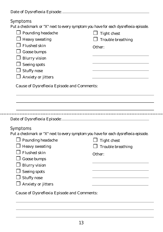| Date of Dysreflexia Episode: |  |
|------------------------------|--|
|                              |  |

## Symptoms

........

Put a checkmark or "X" next to every symptom you have for each dysreflexia episode.

| <b>Pounding headache</b><br><b>Heavy sweating</b><br><b>Flushed skin</b><br>Goose bumps<br><b>Blurry vision</b><br><b>Seeing spots</b><br><b>J</b> Stuffy nose<br>Anxiety or jitters | <b>Tight chest</b><br><b>Trouble breathing</b><br>Other: |
|--------------------------------------------------------------------------------------------------------------------------------------------------------------------------------------|----------------------------------------------------------|
| <b>Cause of Dysreflexia Episode and Comments:</b>                                                                                                                                    |                                                          |
|                                                                                                                                                                                      |                                                          |
|                                                                                                                                                                                      |                                                          |
|                                                                                                                                                                                      |                                                          |
|                                                                                                                                                                                      |                                                          |
|                                                                                                                                                                                      |                                                          |
| <b>Symptoms</b>                                                                                                                                                                      |                                                          |
| Put a checkmark or "X" next to every symptom you have for each dysreflexia episode.                                                                                                  |                                                          |
| $\Box$ Pounding headache                                                                                                                                                             | <b>Tight chest</b>                                       |
| <b>Heavy sweating</b>                                                                                                                                                                | <b>Trouble breathing</b>                                 |
| <b>Flushed skin</b>                                                                                                                                                                  | Other:                                                   |
| Goose bumps                                                                                                                                                                          |                                                          |
| <b>Blurry vision</b>                                                                                                                                                                 |                                                          |
| <b>Seeing spots</b>                                                                                                                                                                  |                                                          |
| $\Box$ Stuffy nose                                                                                                                                                                   |                                                          |
| Anxiety or jitters                                                                                                                                                                   |                                                          |
|                                                                                                                                                                                      |                                                          |

Cause of Dysreflexia Episode and Comments: